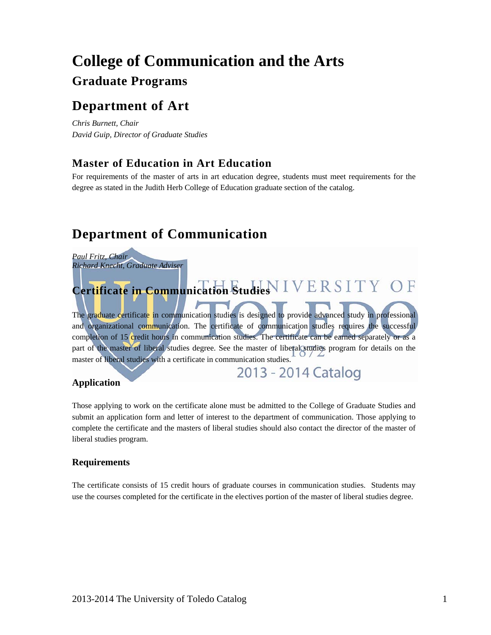# **College of Communication and the Arts Graduate Programs**

# **Department of Art**

*Chris Burnett, Chair David Guip, Director of Graduate Studies* 

# **Master of Education in Art Education**

For requirements of the master of arts in art education degree, students must meet requirements for the degree as stated in the Judith Herb College of Education graduate section of the catalog.

# **Department of Communication**

*Paul Fritz, Chair Richard Knecht, Graduate Adviser*

# **Certificate in Communication Studies**

The graduate certificate in communication studies is designed to provide advanced study in professional and organizational communication. The certificate of communication studies requires the successful completion of 15 credit hours in communication studies. The certificate can be earned separately or as a part of the master of liberal studies degree. See the master of liberal studies program for details on the master of liberal studies with a certificate in communication studies.

2013 - 2014 Catalog

## **Application**

Those applying to work on the certificate alone must be admitted to the College of Graduate Studies and submit an application form and letter of interest to the department of communication. Those applying to complete the certificate and the masters of liberal studies should also contact the director of the master of liberal studies program.

## **Requirements**

The certificate consists of 15 credit hours of graduate courses in communication studies. Students may use the courses completed for the certificate in the electives portion of the master of liberal studies degree.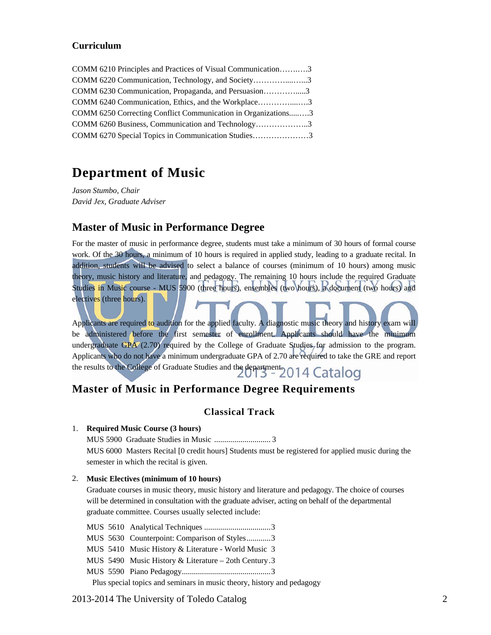### **Curriculum**

| COMM 6210 Principles and Practices of Visual Communication3   |  |
|---------------------------------------------------------------|--|
| COMM 6220 Communication, Technology, and Society3             |  |
| COMM 6230 Communication, Propaganda, and Persuasion3          |  |
| COMM 6240 Communication, Ethics, and the Workplace3           |  |
| COMM 6250 Correcting Conflict Communication in Organizations3 |  |
| COMM 6260 Business, Communication and Technology3             |  |
| COMM 6270 Special Topics in Communication Studies3            |  |

# **Department of Music**

*Jason Stumbo, Chair David Jex, Graduate Adviser* 

# **Master of Music in Performance Degree**

For the master of music in performance degree, students must take a minimum of 30 hours of formal course work. Of the 30 hours, a minimum of 10 hours is required in applied study, leading to a graduate recital. In addition, students will be advised to select a balance of courses (minimum of 10 hours) among music theory, music history and literature, and pedagogy. The remaining 10 hours include the required Graduate Studies in Music course - MUS 5900 (three hours), ensembles (two hours), a document (two hours) and electives (three hours).

Applicants are required to audition for the applied faculty. A diagnostic music theory and history exam will be administered before the first semester of enrollment. Applicants should have the minimum undergraduate GPA  $(2.70)$  required by the College of Graduate Studies for admission to the program. Applicants who do not have a minimum undergraduate GPA of 2.70 are required to take the GRE and report the results to the College of Graduate Studies and the department. 2014 Catalog

# **Master of Music in Performance Degree Requirements**

## **Classical Track**

#### 1. **Required Music Course (3 hours)**

MUS 5900 Graduate Studies in Music ............................ 3 MUS 6000 Masters Recital [0 credit hours] Students must be registered for applied music during the semester in which the recital is given.

#### 2. **Music Electives (minimum of 10 hours)**

Graduate courses in music theory, music history and literature and pedagogy. The choice of courses will be determined in consultation with the graduate adviser, acting on behalf of the departmental graduate committee. Courses usually selected include:

MUS 5610 Analytical Techniques ................................. 3 MUS 5630 Counterpoint: Comparison of Styles ............ 3 MUS 5410 Music History & Literature - World Music 3 MUS 5490 Music History & Literature – 2oth Century . 3 MUS 5590 Piano Pedagogy ............................................ 3 Plus special topics and seminars in music theory, history and pedagogy